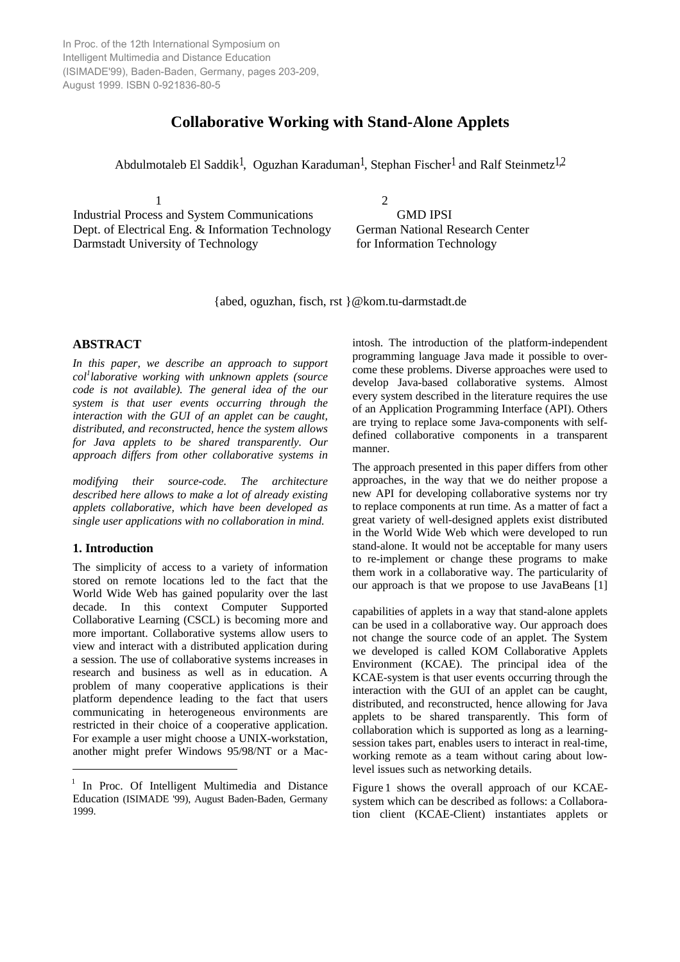In Proc. of the 12th International Symposium on Intelligent Multimedia and Distance Education (ISIMADE'99), Baden-Baden, Germany, pages 203-209, August 1999. ISBN 0-921836-80-5

# **Collaborative Working with Stand-Alone Applets**

Abdulmotaleb El Saddik<sup>1</sup>, Oguzhan Karaduman<sup>1</sup>, Stephan Fischer<sup>1</sup> and Ralf Steinmetz<sup>1,2</sup>

Industrial Process and System Communications GMD IPSI Dept. of Electrical Eng. & Information Technology German National Research Center Darmstadt University of Technology for Information Technology

1 2

{abed, oguzhan, fisch, rst }@kom.tu-darmstadt.de

## **ABSTRACT**

*In this paper, we describe an approach to support col<sup>1</sup> laborative working with unknown applets (source code is not available). The general idea of the our system is that user events occurring through the interaction with the GUI of an applet can be caught, distributed, and reconstructed, hence the system allows for Java applets to be shared transparently. Our approach differs from other collaborative systems in*

*modifying their source-code. The architecture described here allows to make a lot of already existing applets collaborative, which have been developed as single user applications with no collaboration in mind.*

## **1. Introduction**

-

The simplicity of access to a variety of information stored on remote locations led to the fact that the World Wide Web has gained popularity over the last decade. In this context Computer Supported Collaborative Learning (CSCL) is becoming more and more important. Collaborative systems allow users to view and interact with a distributed application during a session. The use of collaborative systems increases in research and business as well as in education. A problem of many cooperative applications is their platform dependence leading to the fact that users communicating in heterogeneous environments are restricted in their choice of a cooperative application. For example a user might choose a UNIX-workstation, another might prefer Windows 95/98/NT or a Mac-

intosh. The introduction of the platform-independent programming language Java made it possible to overcome these problems. Diverse approaches were used to develop Java-based collaborative systems. Almost every system described in the literature requires the use of an Application Programming Interface (API). Others are trying to replace some Java-components with selfdefined collaborative components in a transparent manner.

The approach presented in this paper differs from other approaches, in the way that we do neither propose a new API for developing collaborative systems nor try to replace components at run time. As a matter of fact a great variety of well-designed applets exist distributed in the World Wide Web which were developed to run stand-alone. It would not be acceptable for many users to re-implement or change these programs to make them work in a collaborative way. The particularity of our approach is that we propose to use JavaBeans [1]

capabilities of applets in a way that stand-alone applets can be used in a collaborative way. Our approach does not change the source code of an applet. The System we developed is called KOM Collaborative Applets Environment (KCAE). The principal idea of the KCAE-system is that user events occurring through the interaction with the GUI of an applet can be caught, distributed, and reconstructed, hence allowing for Java applets to be shared transparently. This form of collaboration which is supported as long as a learningsession takes part, enables users to interact in real-time, working remote as a team without caring about lowlevel issues such as networking details.

Figure 1 shows the overall approach of our KCAEsystem which can be described as follows: a Collaboration client (KCAE-Client) instantiates applets or

<sup>&</sup>lt;sup>1</sup> In Proc. Of Intelligent Multimedia and Distance Education (ISIMADE '99), August Baden-Baden, Germany 1999.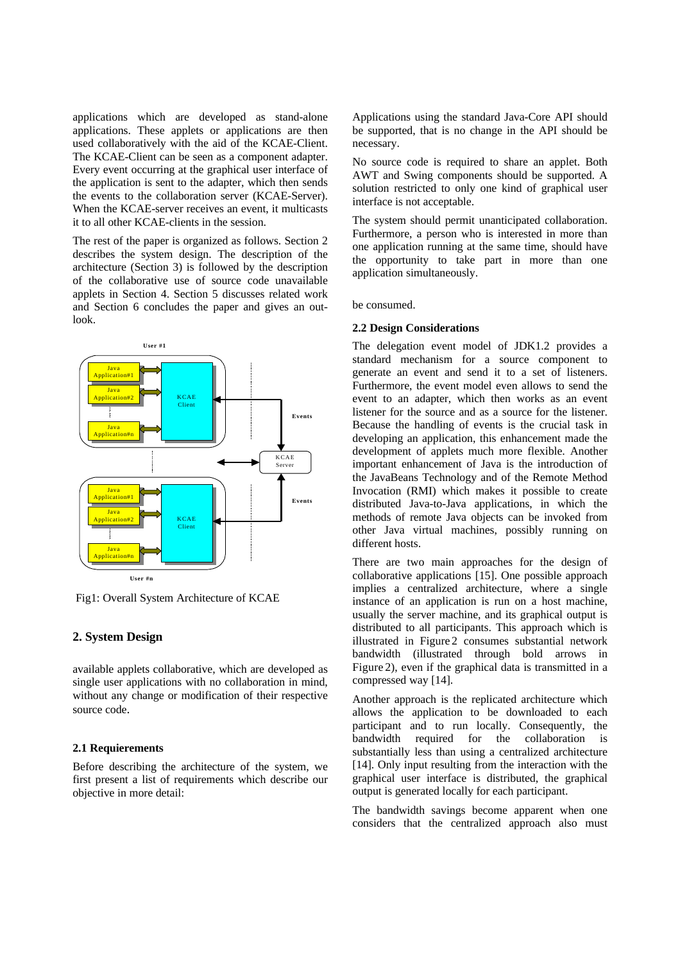applications which are developed as stand-alone applications. These applets or applications are then used collaboratively with the aid of the KCAE-Client. The KCAE-Client can be seen as a component adapter. Every event occurring at the graphical user interface of the application is sent to the adapter, which then sends the events to the collaboration server (KCAE-Server). When the KCAE-server receives an event, it multicasts it to all other KCAE-clients in the session.

The rest of the paper is organized as follows. Section 2 describes the system design. The description of the architecture (Section 3) is followed by the description of the collaborative use of source code unavailable applets in Section 4. Section 5 discusses related work and Section 6 concludes the paper and gives an outlook.



Fig1: Overall System Architecture of KCAE

## **2. System Design**

available applets collaborative, which are developed as single user applications with no collaboration in mind, without any change or modification of their respective source code.

### **2.1 Requierements**

Before describing the architecture of the system, we first present a list of requirements which describe our objective in more detail:

Applications using the standard Java-Core API should be supported, that is no change in the API should be necessary.

No source code is required to share an applet. Both AWT and Swing components should be supported. A solution restricted to only one kind of graphical user interface is not acceptable.

The system should permit unanticipated collaboration. Furthermore, a person who is interested in more than one application running at the same time, should have the opportunity to take part in more than one application simultaneously.

be consumed.

#### **2.2 Design Considerations**

The delegation event model of JDK1.2 provides a standard mechanism for a source component to generate an event and send it to a set of listeners. Furthermore, the event model even allows to send the event to an adapter, which then works as an event listener for the source and as a source for the listener. Because the handling of events is the crucial task in developing an application, this enhancement made the development of applets much more flexible. Another important enhancement of Java is the introduction of the JavaBeans Technology and of the Remote Method Invocation (RMI) which makes it possible to create distributed Java-to-Java applications, in which the methods of remote Java objects can be invoked from other Java virtual machines, possibly running on different hosts.

There are two main approaches for the design of collaborative applications [15]. One possible approach implies a centralized architecture, where a single instance of an application is run on a host machine, usually the server machine, and its graphical output is distributed to all participants. This approach which is illustrated in Figure 2 consumes substantial network bandwidth (illustrated through bold arrows in Figure 2), even if the graphical data is transmitted in a compressed way [14].

Another approach is the replicated architecture which allows the application to be downloaded to each participant and to run locally. Consequently, the bandwidth required for the collaboration is substantially less than using a centralized architecture [14]. Only input resulting from the interaction with the graphical user interface is distributed, the graphical output is generated locally for each participant.

The bandwidth savings become apparent when one considers that the centralized approach also must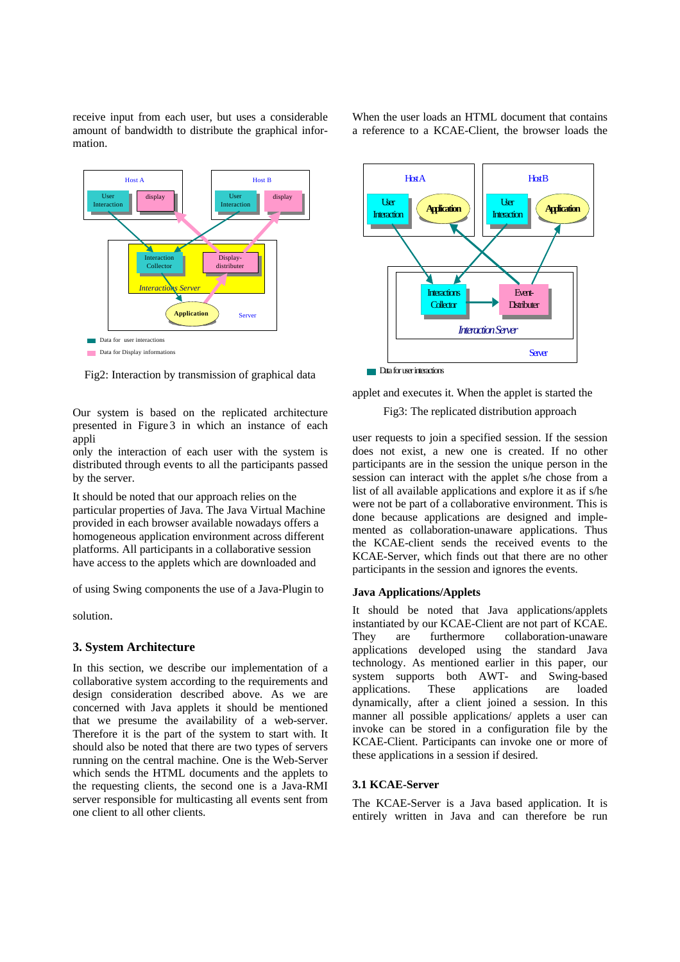receive input from each user, but uses a considerable amount of bandwidth to distribute the graphical information.

User Interaction Host A display Interaction Collector *Interactions Server* Display-distributer User Interaction Host B display Data for user interaction Data for Display informations **Application** ) Server

Fig2: Interaction by transmission of graphical data

Our system is based on the replicated architecture presented in Figure 3 in which an instance of each appli

only the interaction of each user with the system is distributed through events to all the participants passed by the server.

It should be noted that our approach relies on the particular properties of Java. The Java Virtual Machine provided in each browser available nowadays offers a homogeneous application environment across different platforms. All participants in a collaborative session have access to the applets which are downloaded and

of using Swing components the use of a Java-Plugin to

solution.

#### **3. System Architecture**

In this section, we describe our implementation of a collaborative system according to the requirements and design consideration described above. As we are concerned with Java applets it should be mentioned that we presume the availability of a web-server. Therefore it is the part of the system to start with. It should also be noted that there are two types of servers running on the central machine. One is the Web-Server which sends the HTML documents and the applets to the requesting clients, the second one is a Java-RMI server responsible for multicasting all events sent from one client to all other clients.



applet and executes it. When the applet is started the

Fig3: The replicated distribution approach

user requests to join a specified session. If the session does not exist, a new one is created. If no other participants are in the session the unique person in the session can interact with the applet s/he chose from a list of all available applications and explore it as if s/he were not be part of a collaborative environment. This is done because applications are designed and implemented as collaboration-unaware applications. Thus the KCAE-client sends the received events to the KCAE-Server, which finds out that there are no other participants in the session and ignores the events.

#### **Java Applications/Applets**

It should be noted that Java applications/applets instantiated by our KCAE-Client are not part of KCAE. They are furthermore collaboration-unaware applications developed using the standard Java technology. As mentioned earlier in this paper, our system supports both AWT- and Swing-based applications. These applications are loaded dynamically, after a client joined a session. In this manner all possible applications/ applets a user can invoke can be stored in a configuration file by the KCAE-Client. Participants can invoke one or more of these applications in a session if desired.

#### **3.1 KCAE-Server**

The KCAE-Server is a Java based application. It is entirely written in Java and can therefore be run

When the user loads an HTML document that contains a reference to a KCAE-Client, the browser loads the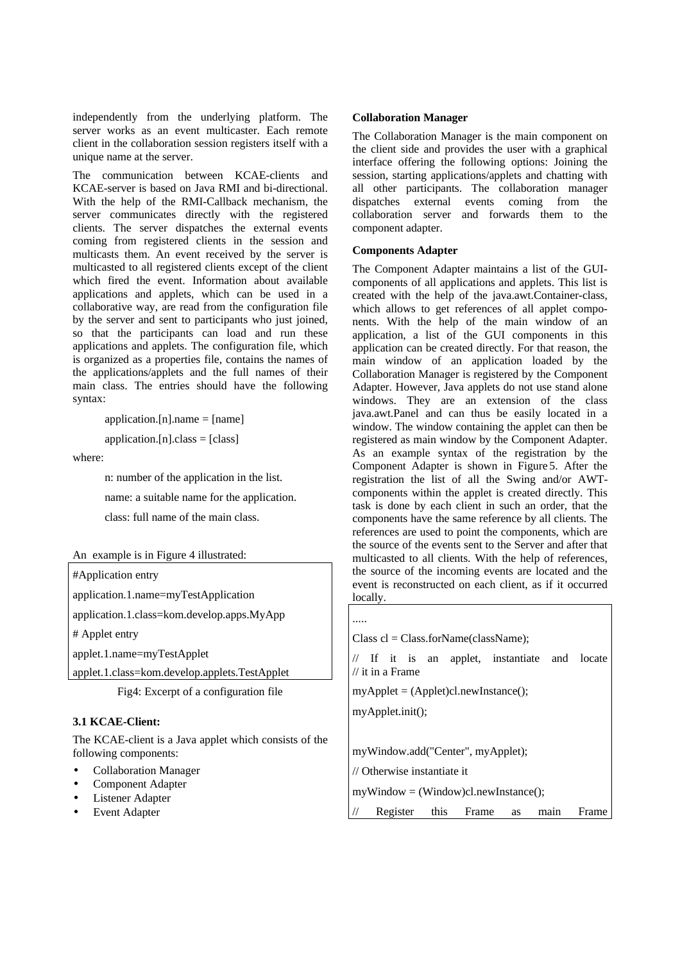independently from the underlying platform. The server works as an event multicaster. Each remote client in the collaboration session registers itself with a unique name at the server.

The communication between KCAE-clients and KCAE-server is based on Java RMI and bi-directional. With the help of the RMI-Callback mechanism, the server communicates directly with the registered clients. The server dispatches the external events coming from registered clients in the session and multicasts them. An event received by the server is multicasted to all registered clients except of the client which fired the event. Information about available applications and applets, which can be used in a collaborative way, are read from the configuration file by the server and sent to participants who just joined, so that the participants can load and run these applications and applets. The configuration file, which is organized as a properties file, contains the names of the applications/applets and the full names of their main class. The entries should have the following syntax:

application.[n].name  $=$  [name]

 $application.[n].class = [class]$ 

where:

n: number of the application in the list.

name: a suitable name for the application.

class: full name of the main class.

|--|

#Application entry application.1.name=myTestApplication

application.1.class=kom.develop.apps.MyApp

# Applet entry

applet.1.name=myTestApplet

applet.1.class=kom.develop.applets.TestApplet

Fig4: Excerpt of a configuration file

## **3.1 KCAE-Client:**

The KCAE-client is a Java applet which consists of the following components:

- Collaboration Manager
- Component Adapter
- Listener Adapter
- **Event Adapter**

#### **Collaboration Manager**

The Collaboration Manager is the main component on the client side and provides the user with a graphical interface offering the following options: Joining the session, starting applications/applets and chatting with all other participants. The collaboration manager dispatches external events coming from the collaboration server and forwards them to the component adapter.

#### **Components Adapter**

The Component Adapter maintains a list of the GUIcomponents of all applications and applets. This list is created with the help of the java.awt.Container-class, which allows to get references of all applet components. With the help of the main window of an application, a list of the GUI components in this application can be created directly. For that reason, the main window of an application loaded by the Collaboration Manager is registered by the Component Adapter. However, Java applets do not use stand alone windows. They are an extension of the class java.awt.Panel and can thus be easily located in a window. The window containing the applet can then be registered as main window by the Component Adapter. As an example syntax of the registration by the Component Adapter is shown in Figure 5. After the registration the list of all the Swing and/or AWTcomponents within the applet is created directly. This task is done by each client in such an order, that the components have the same reference by all clients. The references are used to point the components, which are the source of the events sent to the Server and after that multicasted to all clients. With the help of references, the source of the incoming events are located and the event is reconstructed on each client, as if it occurred locally.

.....

```
Class cl = Class.forName(className);
```
// If it is an applet, instantiate and locate // it in a Frame

 $myApplet = (Applet)cl.newInstance();$ 

myApplet.init();

myWindow.add("Center", myApplet);

// Otherwise instantiate it

myWindow = (Window)cl.newInstance();

Register this Frame as main Frame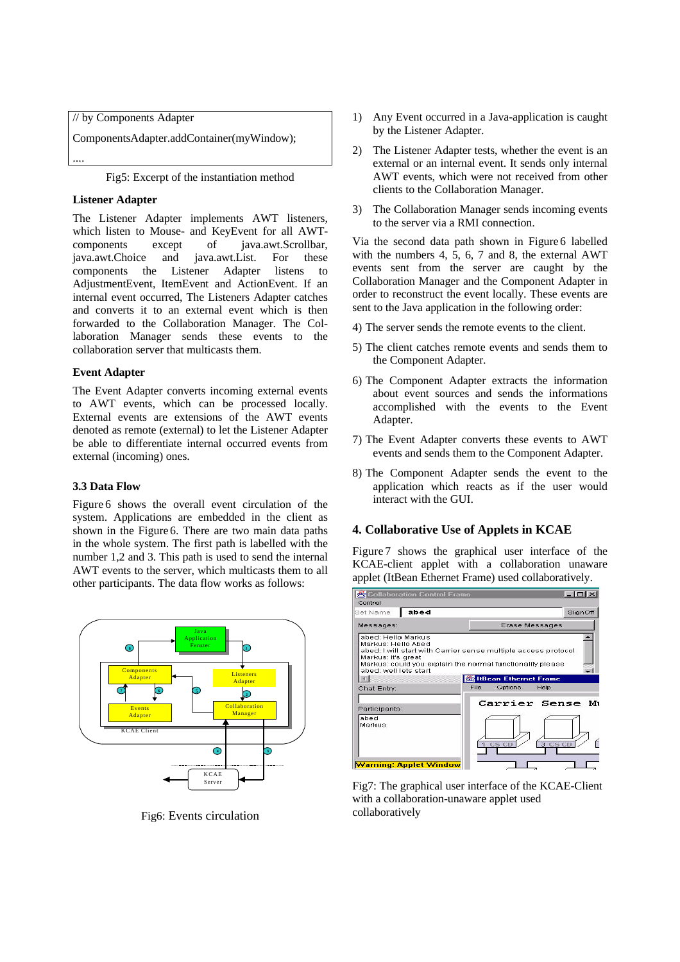// by Components Adapter ComponentsAdapter.addContainer(myWindow); ....

Fig5: Excerpt of the instantiation method

## **Listener Adapter**

The Listener Adapter implements AWT listeners, which listen to Mouse- and KeyEvent for all AWT-<br>components except of iava.awt.Scrollbar. components except of java.awt.Scrollbar,<br>java.awt.Choice and java.awt.List. For these java.awt.Choice and java.awt.List. For these components the Listener Adapter listens to AdjustmentEvent, ItemEvent and ActionEvent. If an internal event occurred, The Listeners Adapter catches and converts it to an external event which is then forwarded to the Collaboration Manager. The Collaboration Manager sends these events to the collaboration server that multicasts them.

## **Event Adapter**

The Event Adapter converts incoming external events to AWT events, which can be processed locally. External events are extensions of the AWT events denoted as remote (external) to let the Listener Adapter be able to differentiate internal occurred events from external (incoming) ones.

## **3.3 Data Flow**

Figure 6 shows the overall event circulation of the system. Applications are embedded in the client as shown in the Figure 6. There are two main data paths in the whole system. The first path is labelled with the number 1,2 and 3. This path is used to send the internal AWT events to the server, which multicasts them to all other participants. The data flow works as follows:



Fig6: Events circulation

- 1) Any Event occurred in a Java-application is caught by the Listener Adapter.
- 2) The Listener Adapter tests, whether the event is an external or an internal event. It sends only internal AWT events, which were not received from other clients to the Collaboration Manager.
- 3) The Collaboration Manager sends incoming events to the server via a RMI connection.

Via the second data path shown in Figure 6 labelled with the numbers 4, 5, 6, 7 and 8, the external AWT events sent from the server are caught by the Collaboration Manager and the Component Adapter in order to reconstruct the event locally. These events are sent to the Java application in the following order:

- 4) The server sends the remote events to the client.
- 5) The client catches remote events and sends them to the Component Adapter.
- 6) The Component Adapter extracts the information about event sources and sends the informations accomplished with the events to the Event Adapter.
- 7) The Event Adapter converts these events to AWT events and sends them to the Component Adapter.
- 8) The Component Adapter sends the event to the application which reacts as if the user would interact with the GUI.

## **4. Collaborative Use of Applets in KCAE**

Figure 7 shows the graphical user interface of the KCAE-client applet with a collaboration unaware applet (ItBean Ethernet Frame) used collaboratively.



Fig7: The graphical user interface of the KCAE-Client with a collaboration-unaware applet used collaboratively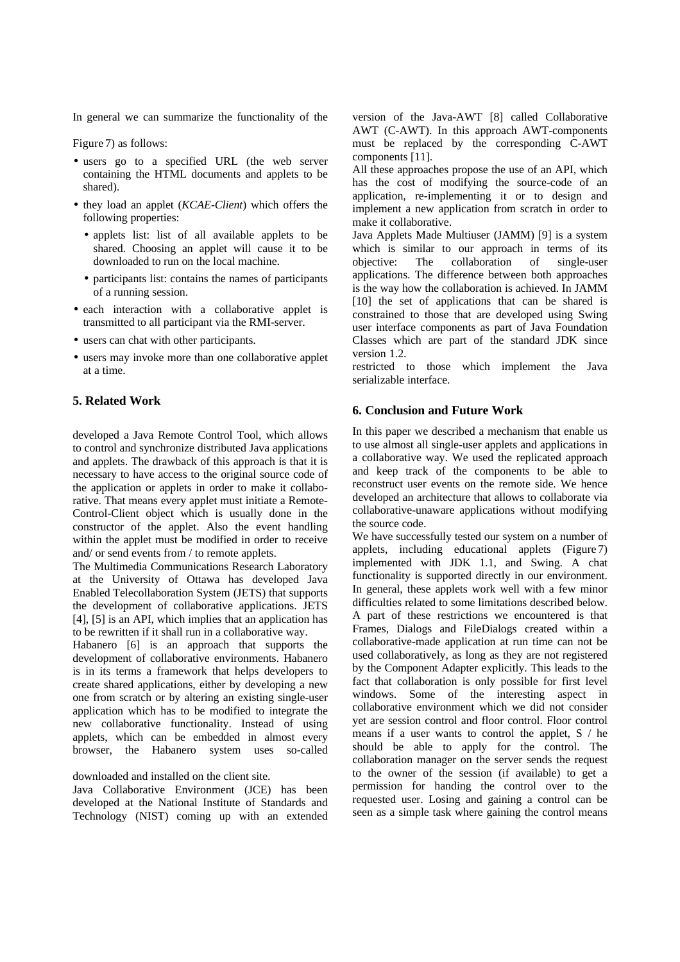In general we can summarize the functionality of the

Figure 7) as follows:

- users go to a specified URL (the web server containing the HTML documents and applets to be shared).
- they load an applet (*KCAE-Client*) which offers the following properties:
	- applets list: list of all available applets to be shared. Choosing an applet will cause it to be downloaded to run on the local machine.
	- participants list: contains the names of participants of a running session.
- each interaction with a collaborative applet is transmitted to all participant via the RMI-server.
- users can chat with other participants.
- users may invoke more than one collaborative applet at a time.

## **5. Related Work**

developed a Java Remote Control Tool, which allows to control and synchronize distributed Java applications and applets. The drawback of this approach is that it is necessary to have access to the original source code of the application or applets in order to make it collaborative. That means every applet must initiate a Remote-Control-Client object which is usually done in the constructor of the applet. Also the event handling within the applet must be modified in order to receive and/ or send events from / to remote applets.

The Multimedia Communications Research Laboratory at the University of Ottawa has developed Java Enabled Telecollaboration System (JETS) that supports the development of collaborative applications. JETS [4], [5] is an API, which implies that an application has to be rewritten if it shall run in a collaborative way.

Habanero [6] is an approach that supports the development of collaborative environments. Habanero is in its terms a framework that helps developers to create shared applications, either by developing a new one from scratch or by altering an existing single-user application which has to be modified to integrate the new collaborative functionality. Instead of using applets, which can be embedded in almost every browser, the Habanero system uses so-called

### downloaded and installed on the client site.

Java Collaborative Environment (JCE) has been developed at the National Institute of Standards and Technology (NIST) coming up with an extended

version of the Java-AWT [8] called Collaborative AWT (C-AWT). In this approach AWT-components must be replaced by the corresponding C-AWT components [11].

All these approaches propose the use of an API, which has the cost of modifying the source-code of an application, re-implementing it or to design and implement a new application from scratch in order to make it collaborative.

Java Applets Made Multiuser (JAMM) [9] is a system which is similar to our approach in terms of its objective: The collaboration of single-user applications. The difference between both approaches is the way how the collaboration is achieved. In JAMM [10] the set of applications that can be shared is constrained to those that are developed using Swing user interface components as part of Java Foundation Classes which are part of the standard JDK since version 1.2.

restricted to those which implement the Java serializable interface.

#### **6. Conclusion and Future Work**

In this paper we described a mechanism that enable us to use almost all single-user applets and applications in a collaborative way. We used the replicated approach and keep track of the components to be able to reconstruct user events on the remote side. We hence developed an architecture that allows to collaborate via collaborative-unaware applications without modifying the source code.

We have successfully tested our system on a number of applets, including educational applets (Figure 7) implemented with JDK 1.1, and Swing. A chat functionality is supported directly in our environment. In general, these applets work well with a few minor difficulties related to some limitations described below. A part of these restrictions we encountered is that Frames, Dialogs and FileDialogs created within a collaborative-made application at run time can not be used collaboratively, as long as they are not registered by the Component Adapter explicitly. This leads to the fact that collaboration is only possible for first level windows. Some of the interesting aspect in collaborative environment which we did not consider yet are session control and floor control. Floor control means if a user wants to control the applet, S / he should be able to apply for the control. The collaboration manager on the server sends the request to the owner of the session (if available) to get a permission for handing the control over to the requested user. Losing and gaining a control can be seen as a simple task where gaining the control means